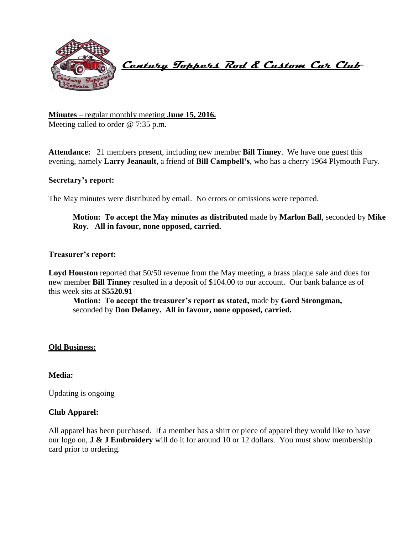

 **Century Toppers Rod & Custom Car Club** 

**Minutes** – regular monthly meeting **June 15, 2016.** Meeting called to order @ 7:35 p.m.

**Attendance:** 21 members present, including new member **Bill Tinney**. We have one guest this evening, namely **Larry Jeanault**, a friend of **Bill Campbell's**, who has a cherry 1964 Plymouth Fury.

### **Secretary's report:**

The May minutes were distributed by email. No errors or omissions were reported.

## **Motion: To accept the May minutes as distributed** made by **Marlon Ball**, seconded by **Mike Roy. All in favour, none opposed, carried.**

#### **Treasurer's report:**

**Loyd Houston** reported that 50/50 revenue from the May meeting, a brass plaque sale and dues for new member **Bill Tinney** resulted in a deposit of \$104.00 to our account. Our bank balance as of this week sits at **\$5520.91**

**Motion: To accept the treasurer's report as stated,** made by **Gord Strongman,**  seconded by **Don Delaney. All in favour, none opposed, carried.**

#### **Old Business:**

### **Media:**

Updating is ongoing

### **Club Apparel:**

All apparel has been purchased. If a member has a shirt or piece of apparel they would like to have our logo on, **J & J Embroidery** will do it for around 10 or 12 dollars. You must show membership card prior to ordering.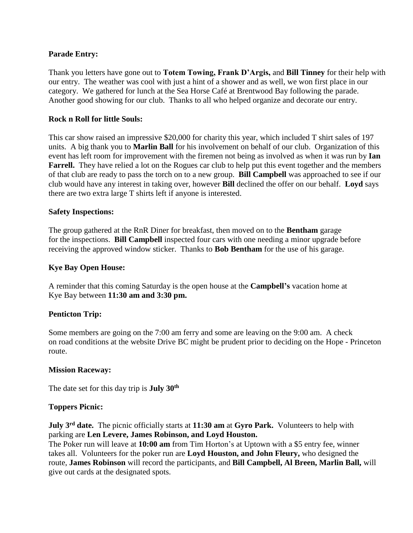### **Parade Entry:**

Thank you letters have gone out to **Totem Towing, Frank D'Argis,** and **Bill Tinney** for their help with our entry. The weather was cool with just a hint of a shower and as well, we won first place in our category. We gathered for lunch at the Sea Horse Café at Brentwood Bay following the parade. Another good showing for our club. Thanks to all who helped organize and decorate our entry.

### **Rock n Roll for little Souls:**

This car show raised an impressive \$20,000 for charity this year, which included T shirt sales of 197 units. A big thank you to **Marlin Ball** for his involvement on behalf of our club. Organization of this event has left room for improvement with the firemen not being as involved as when it was run by **Ian Farrell.** They have relied a lot on the Rogues car club to help put this event together and the members of that club are ready to pass the torch on to a new group. **Bill Campbell** was approached to see if our club would have any interest in taking over, however **Bill** declined the offer on our behalf. **Loyd** says there are two extra large T shirts left if anyone is interested.

### **Safety Inspections:**

The group gathered at the RnR Diner for breakfast, then moved on to the **Bentham** garage for the inspections. **Bill Campbell** inspected four cars with one needing a minor upgrade before receiving the approved window sticker. Thanks to **Bob Bentham** for the use of his garage.

### **Kye Bay Open House:**

A reminder that this coming Saturday is the open house at the **Campbell's** vacation home at Kye Bay between **11:30 am and 3:30 pm.**

### **Penticton Trip:**

Some members are going on the 7:00 am ferry and some are leaving on the 9:00 am. A check on road conditions at the website Drive BC might be prudent prior to deciding on the Hope - Princeton route.

### **Mission Raceway:**

The date set for this day trip is **July 30th**

### **Toppers Picnic:**

**July 3rd date.** The picnic officially starts at **11:30 am** at **Gyro Park.** Volunteers to help with parking are **Len Levere, James Robinson, and Loyd Houston.** 

The Poker run will leave at **10:00 am** from Tim Horton's at Uptown with a \$5 entry fee, winner takes all. Volunteers for the poker run are **Loyd Houston, and John Fleury,** who designed the route, **James Robinson** will record the participants, and **Bill Campbell, Al Breen, Marlin Ball,** will give out cards at the designated spots.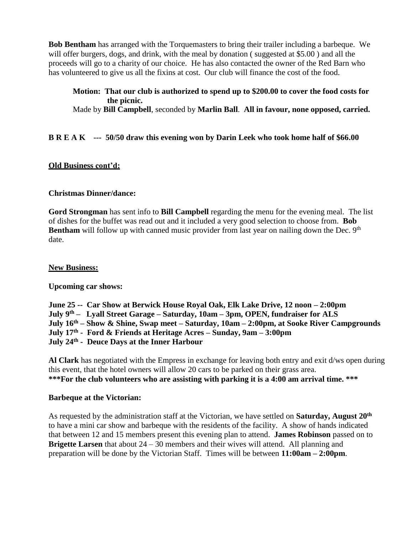**Bob Bentham** has arranged with the Torquemasters to bring their trailer including a barbeque. We will offer burgers, dogs, and drink, with the meal by donation ( suggested at \$5.00 ) and all the proceeds will go to a charity of our choice. He has also contacted the owner of the Red Barn who has volunteered to give us all the fixins at cost. Our club will finance the cost of the food.

## **Motion: That our club is authorized to spend up to \$200.00 to cover the food costs for the picnic.**

Made by **Bill Campbell**, seconded by **Marlin Ball**. **All in favour, none opposed, carried.** 

# **B R E A K --- 50/50 draw this evening won by Darin Leek who took home half of \$66.00**

### **Old Business cont'd:**

### **Christmas Dinner/dance:**

**Gord Strongman** has sent info to **Bill Campbell** regarding the menu for the evening meal.The list of dishes for the buffet was read out and it included a very good selection to choose from. **Bob Bentham** will follow up with canned music provider from last year on nailing down the Dec. 9<sup>th</sup> date.

### **New Business:**

**Upcoming car shows:**

**June 25 -- Car Show at Berwick House Royal Oak, Elk Lake Drive, 12 noon – 2:00pm July 9th – Lyall Street Garage – Saturday, 10am – 3pm, OPEN, fundraiser for ALS July 16th – Show & Shine, Swap meet – Saturday, 10am – 2:00pm, at Sooke River Campgrounds July 17th - Ford & Friends at Heritage Acres – Sunday, 9am – 3:00pm July 24th - Deuce Days at the Inner Harbour**

**Al Clark** has negotiated with the Empress in exchange for leaving both entry and exit d/ws open during this event, that the hotel owners will allow 20 cars to be parked on their grass area. **\*\*\*For the club volunteers who are assisting with parking it is a 4:00 am arrival time. \*\*\*** 

### **Barbeque at the Victorian:**

As requested by the administration staff at the Victorian, we have settled on **Saturday, August 20th** to have a mini car show and barbeque with the residents of the facility. A show of hands indicated that between 12 and 15 members present this evening plan to attend. **James Robinson** passed on to **Brigette Larsen** that about 24 – 30 members and their wives will attend. All planning and preparation will be done by the Victorian Staff. Times will be between **11:00am – 2:00pm**.